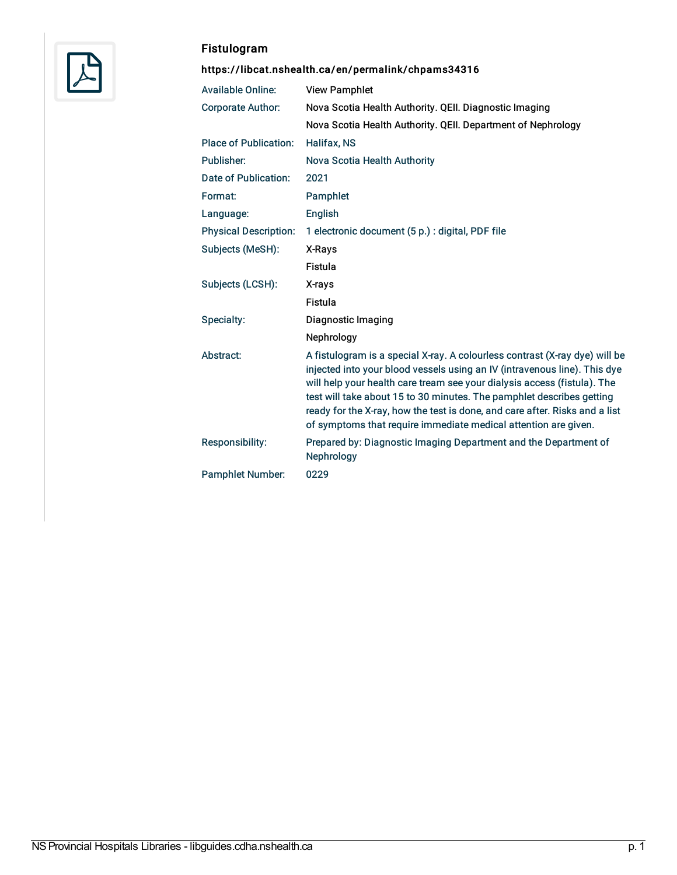

# Fistulogram

# <https://libcat.nshealth.ca/en/permalink/chpams34316>

| <b>Available Online:</b>     | <b>View Pamphlet</b>                                                                                                                                                                                                                                                                                                                                                                                                                                            |
|------------------------------|-----------------------------------------------------------------------------------------------------------------------------------------------------------------------------------------------------------------------------------------------------------------------------------------------------------------------------------------------------------------------------------------------------------------------------------------------------------------|
| <b>Corporate Author:</b>     | Nova Scotia Health Authority. QEII. Diagnostic Imaging                                                                                                                                                                                                                                                                                                                                                                                                          |
|                              | Nova Scotia Health Authority. QEII. Department of Nephrology                                                                                                                                                                                                                                                                                                                                                                                                    |
| <b>Place of Publication:</b> | <b>Halifax, NS</b>                                                                                                                                                                                                                                                                                                                                                                                                                                              |
| Publisher:                   | Nova Scotia Health Authority                                                                                                                                                                                                                                                                                                                                                                                                                                    |
| Date of Publication:         | 2021                                                                                                                                                                                                                                                                                                                                                                                                                                                            |
| Format:                      | Pamphlet                                                                                                                                                                                                                                                                                                                                                                                                                                                        |
| Language:                    | English                                                                                                                                                                                                                                                                                                                                                                                                                                                         |
| <b>Physical Description:</b> | 1 electronic document (5 p.) : digital, PDF file                                                                                                                                                                                                                                                                                                                                                                                                                |
| Subjects (MeSH):             | X-Rays                                                                                                                                                                                                                                                                                                                                                                                                                                                          |
|                              | Fistula                                                                                                                                                                                                                                                                                                                                                                                                                                                         |
| Subjects (LCSH):             | X-rays                                                                                                                                                                                                                                                                                                                                                                                                                                                          |
|                              | <b>Fistula</b>                                                                                                                                                                                                                                                                                                                                                                                                                                                  |
| Specialty:                   | Diagnostic Imaging                                                                                                                                                                                                                                                                                                                                                                                                                                              |
|                              | Nephrology                                                                                                                                                                                                                                                                                                                                                                                                                                                      |
| Abstract:                    | A fistulogram is a special X-ray. A colourless contrast (X-ray dye) will be<br>injected into your blood vessels using an IV (intravenous line). This dye<br>will help your health care tream see your dialysis access (fistula). The<br>test will take about 15 to 30 minutes. The pamphlet describes getting<br>ready for the X-ray, how the test is done, and care after. Risks and a list<br>of symptoms that require immediate medical attention are given. |
| Responsibility:              | Prepared by: Diagnostic Imaging Department and the Department of<br>Nephrology                                                                                                                                                                                                                                                                                                                                                                                  |
| <b>Pamphlet Number:</b>      | 0229                                                                                                                                                                                                                                                                                                                                                                                                                                                            |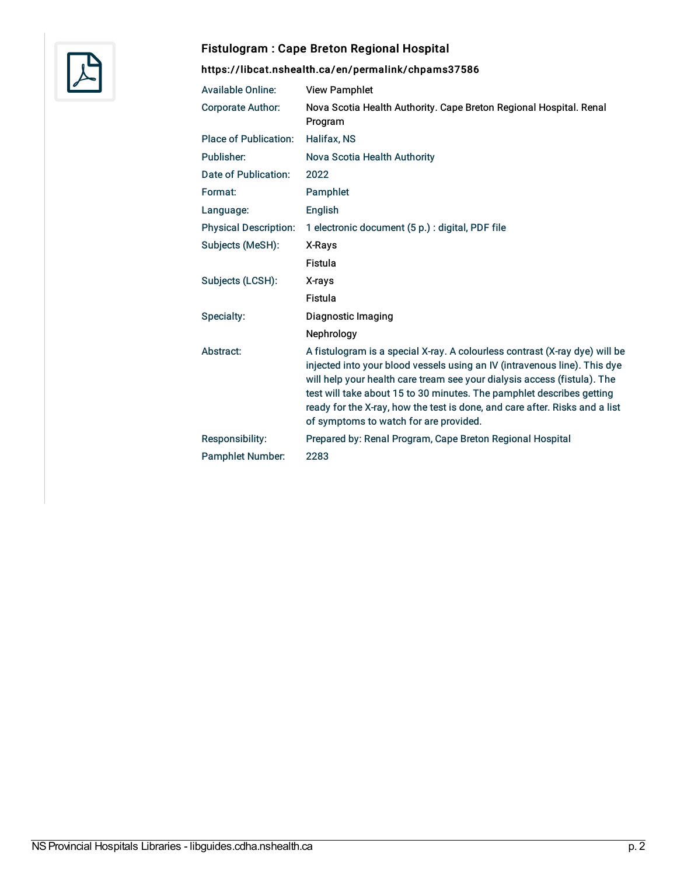

## Fistulogram : Cape Breton Regional Hospital

# <https://libcat.nshealth.ca/en/permalink/chpams37586>

| <b>Available Online:</b>     | <b>View Pamphlet</b>                                                                                                                                                                                                                                                                                                                                                                                                                   |
|------------------------------|----------------------------------------------------------------------------------------------------------------------------------------------------------------------------------------------------------------------------------------------------------------------------------------------------------------------------------------------------------------------------------------------------------------------------------------|
| <b>Corporate Author:</b>     | Nova Scotia Health Authority. Cape Breton Regional Hospital. Renal<br>Program                                                                                                                                                                                                                                                                                                                                                          |
| <b>Place of Publication:</b> | <b>Halifax, NS</b>                                                                                                                                                                                                                                                                                                                                                                                                                     |
| Publisher:                   | Nova Scotia Health Authority                                                                                                                                                                                                                                                                                                                                                                                                           |
| Date of Publication:         | 2022                                                                                                                                                                                                                                                                                                                                                                                                                                   |
| Format:                      | Pamphlet                                                                                                                                                                                                                                                                                                                                                                                                                               |
| Language:                    | English                                                                                                                                                                                                                                                                                                                                                                                                                                |
| <b>Physical Description:</b> | 1 electronic document (5 p.) : digital, PDF file                                                                                                                                                                                                                                                                                                                                                                                       |
| Subjects (MeSH):             | X-Rays                                                                                                                                                                                                                                                                                                                                                                                                                                 |
|                              | Fistula                                                                                                                                                                                                                                                                                                                                                                                                                                |
| Subjects (LCSH):             | X-rays                                                                                                                                                                                                                                                                                                                                                                                                                                 |
|                              | Fistula                                                                                                                                                                                                                                                                                                                                                                                                                                |
| Specialty:                   | Diagnostic Imaging                                                                                                                                                                                                                                                                                                                                                                                                                     |
|                              | Nephrology                                                                                                                                                                                                                                                                                                                                                                                                                             |
| Abstract:                    | A fistulogram is a special X-ray. A colourless contrast (X-ray dye) will be<br>injected into your blood vessels using an IV (intravenous line). This dye<br>will help your health care tream see your dialysis access (fistula). The<br>test will take about 15 to 30 minutes. The pamphlet describes getting<br>ready for the X-ray, how the test is done, and care after. Risks and a list<br>of symptoms to watch for are provided. |
| Responsibility:              | Prepared by: Renal Program, Cape Breton Regional Hospital                                                                                                                                                                                                                                                                                                                                                                              |
| <b>Pamphlet Number:</b>      | 2283                                                                                                                                                                                                                                                                                                                                                                                                                                   |